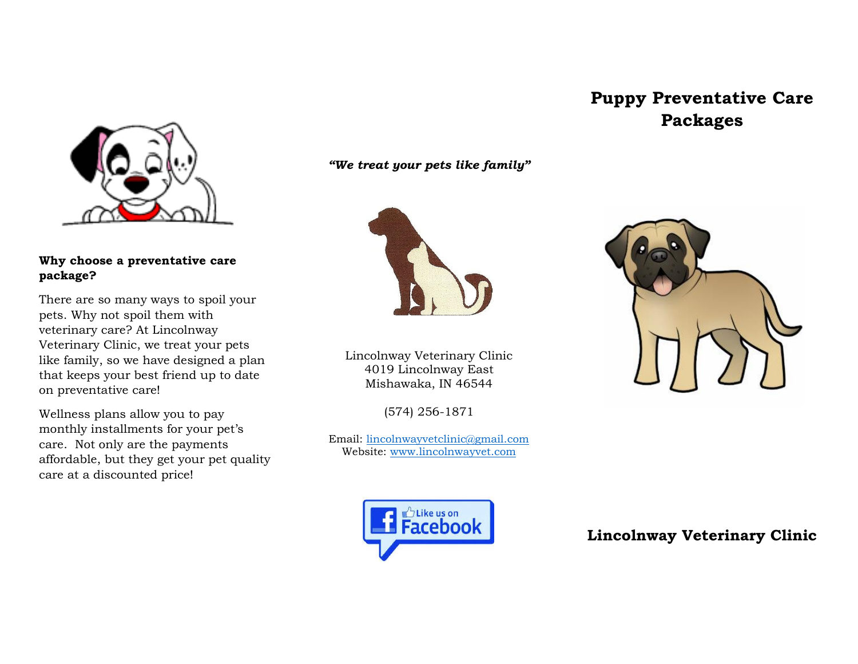## **Why choose a preventative care package?**

There are so many ways to spoil your pets. Why not spoil them with veterinary care? At Lincolnway Veterinary Clinic, we treat your pets like family, so we have designed a plan that keeps your best friend up to date on preventative care!

Wellness plans allow you to pay monthly installments for your pet's care. Not only are the payments affordable, but they get your pet quality care at a discounted price!

*"We treat your pets like family"*



Lincolnway Veterinary Clinic 4019 Lincolnway East Mishawaka, IN 46544

(574) 256-1871

Email: [lincolnwayvetclinic@gmail.com](mailto:lincolnwayvetclinic@gmail.com) Website: [www.lincolnwayvet.com](http://www.lincolnwayvet.com/)



**Puppy Preventative Care** 

**Packages**



**Lincolnway Veterinary Clinic**